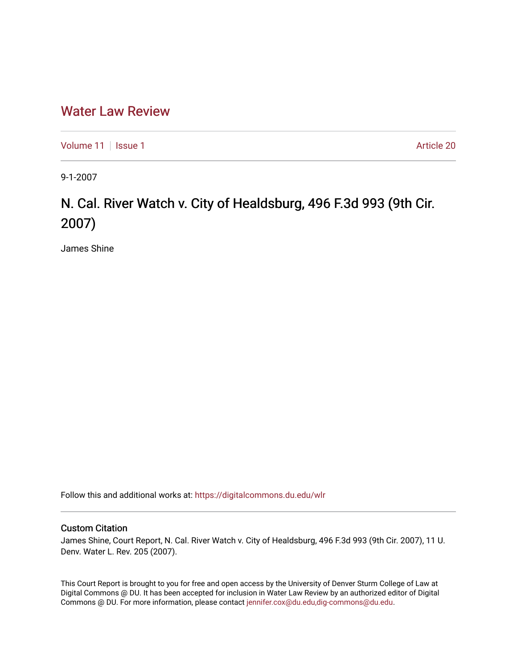## [Water Law Review](https://digitalcommons.du.edu/wlr)

[Volume 11](https://digitalcommons.du.edu/wlr/vol11) | [Issue 1](https://digitalcommons.du.edu/wlr/vol11/iss1) Article 20

9-1-2007

## N. Cal. River Watch v. City of Healdsburg, 496 F.3d 993 (9th Cir. 2007)

James Shine

Follow this and additional works at: [https://digitalcommons.du.edu/wlr](https://digitalcommons.du.edu/wlr?utm_source=digitalcommons.du.edu%2Fwlr%2Fvol11%2Fiss1%2F20&utm_medium=PDF&utm_campaign=PDFCoverPages) 

## Custom Citation

James Shine, Court Report, N. Cal. River Watch v. City of Healdsburg, 496 F.3d 993 (9th Cir. 2007), 11 U. Denv. Water L. Rev. 205 (2007).

This Court Report is brought to you for free and open access by the University of Denver Sturm College of Law at Digital Commons @ DU. It has been accepted for inclusion in Water Law Review by an authorized editor of Digital Commons @ DU. For more information, please contact [jennifer.cox@du.edu,dig-commons@du.edu.](mailto:jennifer.cox@du.edu,dig-commons@du.edu)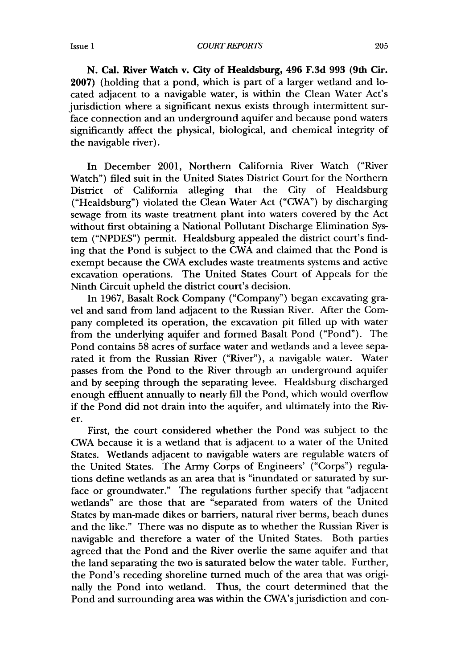*COURT REPORTS*

**N. Cal. River Watch v. City of Healdsburg, 496 F.3d 993 (9th Cir. 2007)** (holding that a pond, which is part of a larger wetland and located adjacent to a navigable water, is within the Clean Water Act's jurisdiction where a significant nexus exists through intermittent surface connection and an underground aquifer and because pond waters significantly affect the physical, biological, and chemical integrity of the navigable river).

In December 2001, Northern California River Watch ("River Watch") filed suit in the United States District Court for the Northern District of California alleging that the City of Healdsburg ("Healdsburg") violated the Clean Water Act ("CWA") **by** discharging sewage from its waste treatment plant into waters covered **by** the Act without first obtaining a National Pollutant Discharge Elimination System **("NPDES")** permit. Healdsburg appealed the district court's finding that the Pond is subject to the CWA and claimed that the Pond is exempt because the CWA excludes waste treatments systems and active excavation operations. The United States Court of Appeals for **the** Ninth Circuit upheld the district court's decision.

In **1967,** Basalt Rock Company ("Company") began excavating gravel and sand from land adjacent to the Russian River. After the Company completed its operation, the excavation pit filled up with water from the underlying aquifer and formed Basalt Pond ("Pond"). The Pond contains **58** acres of surface water and wetlands and a levee separated it from the Russian River ("River"), a navigable water. Water passes from the Pond to the River through an underground aquifer and **by** seeping through the separating levee. Healdsburg discharged enough effluent annually to nearly **fill** the Pond, which would overflow if the Pond did not drain into the aquifer, and ultimately into the River.

First, the court considered whether the Pond was subject to the CWA because it is a wetland that is adjacent to a water of the United States. Wetlands adjacent to navigable waters are regulable waters of the United States. The Army Corps of Engineers' ("Corps") regulations define wetlands as an area that is "inundated or saturated **by** surface or groundwater." The regulations further specify that "adjacent wetlands" are those that are "separated from waters of the United States **by** man-made dikes or barriers, natural river berms, beach dunes and the like." There was no dispute as to whether the Russian River is navigable and therefore a water of the United States. Both parties agreed that the Pond and the River overlie the same aquifer and that the land separating the two is saturated below the water table. Further, the Pond's receding shoreline turned much of the area that was originally the Pond into wetland. Thus, the court determined that the Pond and surrounding area was within the CWA's jurisdiction and con